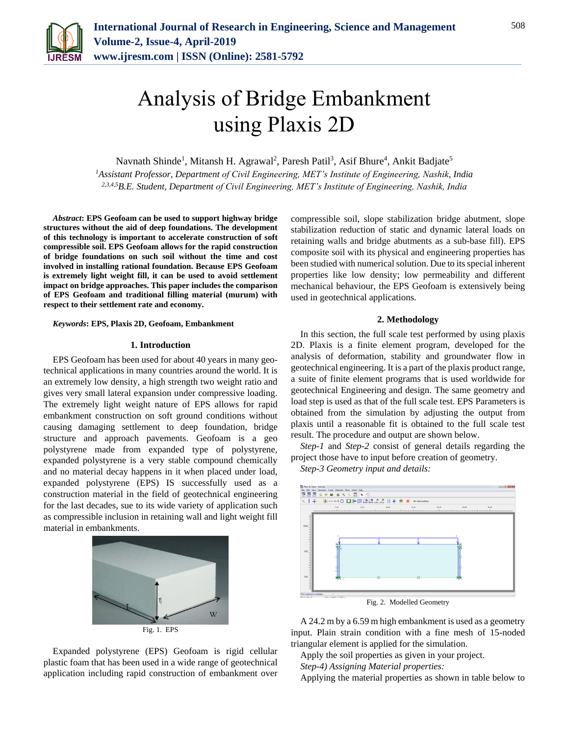

# Analysis of Bridge Embankment using Plaxis 2D

Navnath Shinde<sup>1</sup>, Mitansh H. Agrawal<sup>2</sup>, Paresh Patil<sup>3</sup>, Asif Bhure<sup>4</sup>, Ankit Badjate<sup>5</sup>

*<sup>1</sup>Assistant Professor, Department of Civil Engineering, MET's Institute of Engineering, Nashik, India 2,3,4,5B.E. Student, Department of Civil Engineering, MET's Institute of Engineering, Nashik, India*

*Abstract***: EPS Geofoam can be used to support highway bridge structures without the aid of deep foundations. The development of this technology is important to accelerate construction of soft compressible soil. EPS Geofoam allows for the rapid construction of bridge foundations on such soil without the time and cost involved in installing rational foundation. Because EPS Geofoam is extremely light weight fill, it can be used to avoid settlement impact on bridge approaches. This paper includes the comparison of EPS Geofoam and traditional filling material (murum) with respect to their settlement rate and economy.**

*Keywords***: EPS, Plaxis 2D, Geofoam, Embankment**

#### **1. Introduction**

EPS Geofoam has been used for about 40 years in many geotechnical applications in many countries around the world. It is an extremely low density, a high strength two weight ratio and gives very small lateral expansion under compressive loading. The extremely light weight nature of EPS allows for rapid embankment construction on soft ground conditions without causing damaging settlement to deep foundation, bridge structure and approach pavements. Geofoam is a geo polystyrene made from expanded type of polystyrene, expanded polystyrene is a very stable compound chemically and no material decay happens in it when placed under load, expanded polystyrene (EPS) IS successfully used as a construction material in the field of geotechnical engineering for the last decades, sue to its wide variety of application such as compressible inclusion in retaining wall and light weight fill material in embankments.



Expanded polystyrene (EPS) Geofoam is rigid cellular plastic foam that has been used in a wide range of geotechnical application including rapid construction of embankment over compressible soil, slope stabilization bridge abutment, slope stabilization reduction of static and dynamic lateral loads on retaining walls and bridge abutments as a sub-base fill). EPS composite soil with its physical and engineering properties has been studied with numerical solution. Due to its special inherent properties like low density; low permeability and different mechanical behaviour, the EPS Geofoam is extensively being used in geotechnical applications.

### **2. Methodology**

In this section, the full scale test performed by using plaxis 2D. Plaxis is a finite element program, developed for the analysis of deformation, stability and groundwater flow in geotechnical engineering. It is a part of the plaxis product range, a suite of finite element programs that is used worldwide for geotechnical Engineering and design. The same geometry and load step is used as that of the full scale test. EPS Parameters is obtained from the simulation by adjusting the output from plaxis until a reasonable fit is obtained to the full scale test result. The procedure and output are shown below.

*Step-1* and *Step-2* consist of general details regarding the project those have to input before creation of geometry.

*Step-3 Geometry input and details:*



A 24.2 m by a 6.59 m high embankment is used as a geometry input. Plain strain condition with a fine mesh of 15-noded triangular element is applied for the simulation.

Apply the soil properties as given in your project.

*Step-4) Assigning Material properties:*

Applying the material properties as shown in table below to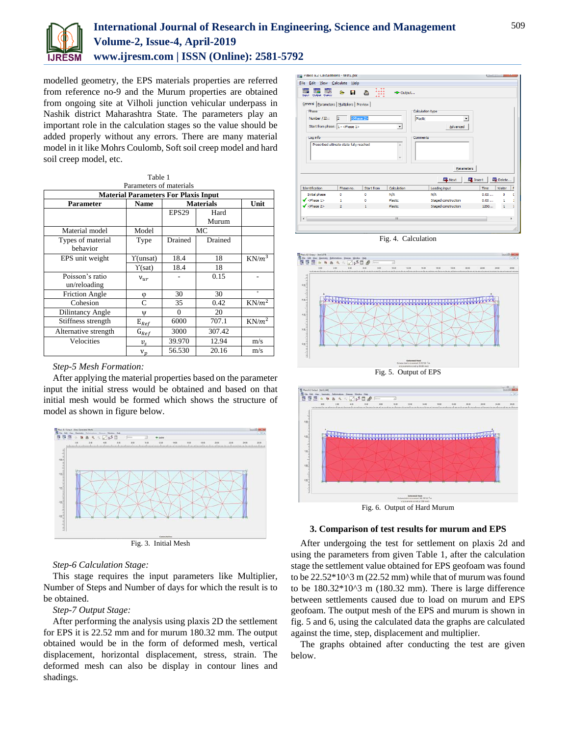

# **International Journal of Research in Engineering, Science and Management Volume-2, Issue-4, April-2019 www.ijresm.com | ISSN (Online): 2581-5792**

modelled geometry, the EPS materials properties are referred from reference no-9 and the Murum properties are obtained from ongoing site at Vilholi junction vehicular underpass in Nashik district Maharashtra State. The parameters play an important role in the calculation stages so the value should be added properly without any errors. There are many material model in it like Mohrs Coulomb, Soft soil creep model and hard soil creep model, etc.

| Table 1                                     |                           |                  |         |          |
|---------------------------------------------|---------------------------|------------------|---------|----------|
| Parameters of materials                     |                           |                  |         |          |
| <b>Material Parameters For Plaxis Input</b> |                           |                  |         |          |
| Parameter                                   | <b>Name</b>               | <b>Materials</b> |         | Unit     |
|                                             |                           | EPS29            | Hard    |          |
|                                             |                           |                  | Murum   |          |
| Material model                              | Model                     | MC               |         |          |
| Types of material                           | Type                      | Drained          | Drained |          |
| behavior                                    |                           |                  |         |          |
| EPS unit weight                             | Y(unsat)                  | 18.4             | 18      | $KN/m^3$ |
|                                             | $\Upsilon(sat)$           | 18.4             | 18      |          |
| Poisson's ratio                             | $v_{ur}$                  |                  | 0.15    |          |
| un/reloading                                |                           |                  |         |          |
| <b>Friction Angle</b>                       | φ                         | 30               | 30      | $\circ$  |
| Cohesion                                    | C                         | 35               | 0.42    | $KN/m^2$ |
| Dilintancy Angle                            | Ψ                         | $\Omega$         | 20      |          |
| Stiffness strength                          | $\mathbf{E}_{\text{Ref}}$ | 6000             | 707.1   | $KN/m^2$ |
| Alternative strength                        | $G_{Ref}$                 | 3000             | 307.42  |          |
| Velocities                                  | $v_{\rm s}$               | 39.970           | 12.94   | m/s      |
|                                             | $v_p$                     | 56.530           | 20.16   | m/s      |

## *Step-5 Mesh Formation:*

After applying the material properties based on the parameter input the initial stress would be obtained and based on that initial mesh would be formed which shows the structure of model as shown in figure below.



#### *Step-6 Calculation Stage:*

This stage requires the input parameters like Multiplier, Number of Steps and Number of days for which the result is to be obtained.

#### *Step-7 Output Stage:*

After performing the analysis using plaxis 2D the settlement for EPS it is 22.52 mm and for murum 180.32 mm. The output obtained would be in the form of deformed mesh, vertical displacement, horizontal displacement, stress, strain. The deformed mesh can also be display in contour lines and shadings.



Fig. 4. Calculation





#### **3. Comparison of test results for murum and EPS**

After undergoing the test for settlement on plaxis 2d and using the parameters from given Table 1, after the calculation stage the settlement value obtained for EPS geofoam was found to be 22.52\*10^3 m (22.52 mm) while that of murum was found to be 180.32\*10^3 m (180.32 mm). There is large difference between settlements caused due to load on murum and EPS geofoam. The output mesh of the EPS and murum is shown in fig. 5 and 6, using the calculated data the graphs are calculated against the time, step, displacement and multiplier.

The graphs obtained after conducting the test are given below.